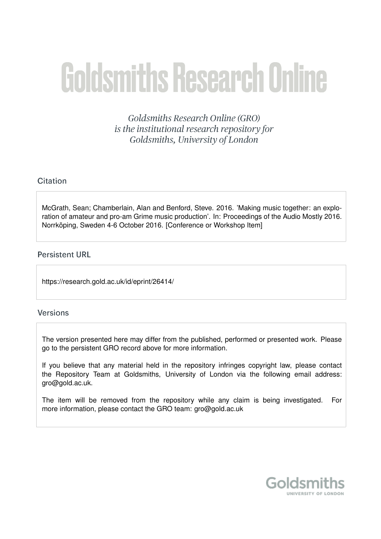# **Goldsmiths Research Online**

Goldsmiths Research Online (GRO) is the institutional research repository for Goldsmiths, University of London

# Citation

McGrath, Sean; Chamberlain, Alan and Benford, Steve. 2016. 'Making music together: an exploration of amateur and pro-am Grime music production'. In: Proceedings of the Audio Mostly 2016. Norrköping, Sweden 4-6 October 2016. [Conference or Workshop Item]

# **Persistent URL**

https://research.gold.ac.uk/id/eprint/26414/

# **Versions**

The version presented here may differ from the published, performed or presented work. Please go to the persistent GRO record above for more information.

If you believe that any material held in the repository infringes copyright law, please contact the Repository Team at Goldsmiths, University of London via the following email address: gro@gold.ac.uk.

The item will be removed from the repository while any claim is being investigated. For more information, please contact the GRO team: gro@gold.ac.uk

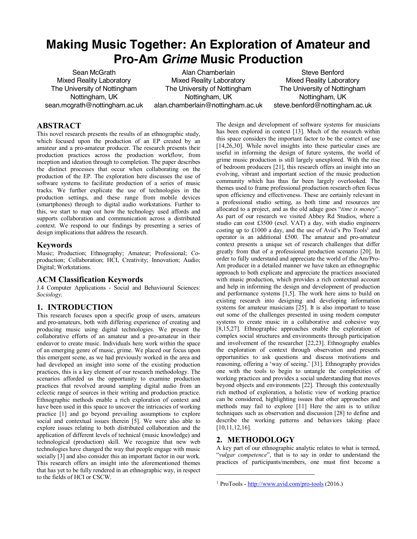# **Making Music Together: An Exploration of Amateur and Pro-Am** *Grime* **Music Production**

Sean McGrath Mixed Reality Laboratory The University of Nottingham Nottingham, UK sean.mcgrath@nottingham.ac.uk

Alan Chamberlain Mixed Reality Laboratory The University of Nottingham Nottingham, UK alan.chamberlain@nottingham.ac.uk

Steve Benford Mixed Reality Laboratory The University of Nottingham Nottingham, UK steve.benford@nottingham.ac.uk

# **ABSTRACT**

This novel research presents the results of an ethnographic study, which focused upon the production of an EP created by an amateur and a pro-amateur producer. The research presents their production practices across the production workflow, from inception and ideation through to completion. The paper describes the distinct processes that occur when collaborating on the production of the EP. The exploration here discusses the use of software systems to facilitate production of a series of music tracks. We further explicate the use of technologies in the production settings, and these range from mobile devices (smartphones) through to digital audio workstations. Further to this, we start to map out how the technology used affords and supports collaboration and communication across a distributed context. We respond to our findings by presenting a series of design implications that address the research.

# **Keywords**

Music; Production; Ethnography; Amateur; Professional; Coproduction; Collaboration; HCI, Creativity; Innovation; Audio; Digital; Workstations.

# **ACM Classification Keywords**

J.4 Computer Applications - Social and Behavioural Sciences: *Sociology*.

# **1. INTRODUCTION**

This research focuses upon a specific group of users, amateurs and pro-amateurs, both with differing experience of creating and producing music using digital technologies. We present the collaborative efforts of an amateur and a pro-amateur in their endeavor to create music. Individuals here work within the space of an emerging genre of music, grime. We placed our focus upon this emergent scene, as we had previously worked in the area and had developed an insight into some of the existing production practices, this is a key element of our research methodology. The scenarios afforded us the opportunity to examine production practices that revolved around sampling digital audio from an eclectic range of sources in their writing and production practice. Ethnographic methods enable a rich exploration of context and have been used in this space to uncover the intricacies of working practice [1] and go beyond prevailing assumptions to explore social and contextual issues therein [5]. We were also able to explore issues relating to both distributed collaboration and the application of different levels of technical (music knowledge) and technological (production) skill. We recognize that new web technologies have changed the way that people engage with music socially [3] and also consider this an important factor in our work. This research offers an insight into the aforementioned themes that has yet to be fully rendered in an ethnographic way, in respect to the fields of HCI or CSCW.

The design and development of software systems for musicians has been explored in context [13]. Much of the research within this space considers the important factor to be the context of use  $[14,26,30]$ . While novel insights into these particular cases are useful in informing the design of future systems, the world of grime music production is still largely unexplored. With the rise of bedroom producers [21], this research offers an insight into an evolving, vibrant and important section of the music production community which has thus far been largely overlooked. The themes used to frame professional production research often focus upon efficiency and effectiveness. These are certainly relevant in a professional studio setting, as both time and resources are allocated to a project, and as the old adage goes "*time is money*". As part of our research we visited Abbey Rd Studios, where a studio can cost £3500 (excl. VAT) a day, with studio engineers costing up to  $\pounds1000$  a day, and the use of Avid's Pro Tools<sup>1</sup> and operator is an additional £500. The amateur and pro-amateur context presents a unique set of research challenges that differ greatly from that of a professional production scenario [20]. In order to fully understand and appreciate the world of the Am/Pro-Am producer in a detailed manner we have taken an ethnographic approach to both explicate and appreciate the practices associated with music production, which provides a rich contextual account and help in informing the design and development of production and performance systems [1,5]. The work here aims to build on existing research into designing and developing information systems for amateur musicians [25]. It is also important to tease out some of the challenges presented in using modern computer systems to create music in a collaborative and cohesive way [8,15,27]. Ethnographic approaches enable the exploration of complex social structures and environments through participation and involvement of the researcher [22,23]. Ethnography enables the exploration of context through observation and presents opportunities to ask questions and discuss motivations and reasoning, offering a 'way of seeing.' [31]. Ethnography provides one with the tools to begin to untangle the complexities of working practices and provides a social understanding that moves beyond objects and environments [22]. Through this contextually rich method of exploration, a holistic view of working practice can be considered, highlighting issues that other approaches and methods may fail to explore [11] Here the aim is to utilize techniques such as observation and discussion [28] to define and describe the working patterns and behaviors taking place [10,11,12,16].

# **2. METHODOLOGY**

 $\overline{a}$ 

A key part of our ethnographic analytic relates to what is termed, "*vulgar competence*", that is to say in order to understand the practices of participants/members, one must first become a

<sup>1</sup> ProTools - http://www.avid.com/pro-tools (2016.)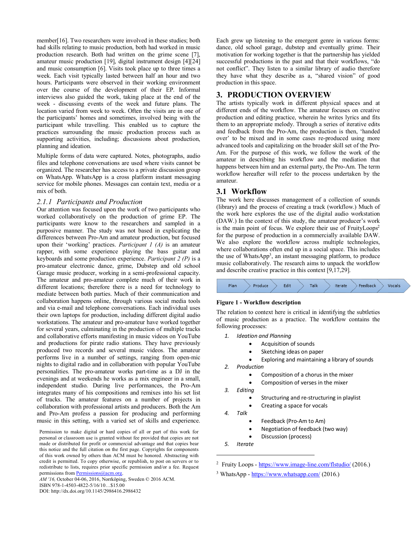member[16]. Two researchers were involved in these studies; both had skills relating to music production, both had worked in music production research. Both had written on the grime scene [7], amateur music production [19], digital instrument design [4][24] and music consumption [6]. Visits took place up to three times a week. Each visit typically lasted between half an hour and two hours. Participants were observed in their working environment over the course of the development of their EP. Informal interviews also guided the work, taking place at the end of the week - discussing events of the week and future plans. The location varied from week to week. Often the visits are in one of the participants' homes and sometimes, involved being with the participant while travelling. This enabled us to capture the practices surrounding the music production process such as supporting activities, including; discussions about production, planning and ideation.

Multiple forms of data were captured. Notes, photographs, audio files and telephone conversations are used where visits cannot be organized. The researcher has access to a private discussion group on WhatsApp. WhatsApp is a cross platform instant messaging service for mobile phones. Messages can contain text, media or a mix of both.

#### *2.1.1 Participants and Production*

Our attention was focused upon the work of two participants who worked collaboratively on the production of grime EP. The participants were know to the researchers and sampled in a purposive manner. The study was not based in explicating the differences between Pro-Am and amateur production, but focused upon their 'working' practices. *Participant 1 (A)* is an amateur rapper, with some experience playing the bass guitar and keyboards and some production experience. *Participant 2 (P)* is a pro-amateur electronic dance, grime, Dubstep and old school Garage music producer, working in a semi-professional capacity. The amateur and pro-amateur complete much of their work in different locations; therefore there is a need for technology to mediate between both parties. Much of their communication and collaboration happens online, through various social media tools and via e-mail and telephone conversations. Each individual uses their own laptops for production, including different digital audio workstations. The amateur and pro-amateur have worked together for several years, culminating in the production of multiple tracks and collaborative efforts manifesting in music videos on YouTube and productions for pirate radio stations. They have previously produced two records and several music videos. The amateur performs live in a number of settings, ranging from open-mic nights to digital radio and in collaboration with popular YouTube personalities. The pro-amateur works part-time as a DJ in the evenings and at weekends he works as a mix engineer in a small, independent studio. During live performances, the Pro-Am integrates many of his compositions and remixes into his set list of tracks. The amateur features on a number of projects in collaboration with professional artists and producers. Both the Am and Pro-Am profess a passion for producing and performing music in this setting, with a varied set of skills and experience.

Permission to make digital or hard copies of all or part of this work for personal or classroom use is granted without fee provided that copies are not made or distributed for profit or commercial advantage and that copies bear this notice and the full citation on the first page. Copyrights for components of this work owned by others than ACM must be honored. Abstracting with credit is permitted. To copy otherwise, or republish, to post on servers or to redistribute to lists, requires prior specific permission and/or a fee. Request permissions from Permissions@acm.org.

ISBN 978-1-4503-4822-5/16/10…\$15.00

DOI: http://dx.doi.org/10.1145/2986416.2986432

Each grew up listening to the emergent genre in various forms: dance, old school garage, dubstep and eventually grime. Their motivation for working together is that the partnership has yielded successful productions in the past and that their workflows, "do not conflict". They listen to a similar library of audio therefore they have what they describe as a, "shared vision" of good production in this space.

## **3. PRODUCTION OVERVIEW**

The artists typically work in different physical spaces and at different ends of the workflow. The amateur focuses on creative production and editing practice, wherein he writes lyrics and fits them to an appropriate melody. Through a series of iterative edits and feedback from the Pro-Am, the production is then, 'handed over' to be mixed and in some cases re-produced using more advanced tools and capitalizing on the broader skill set of the Pro-Am. For the purpose of this work, we follow the work of the amateur in describing his workflow and the mediation that happens between him and an external party, the Pro-Am. The term workflow hereafter will refer to the process undertaken by the amateur.

#### **3.1 Workflow**

The work here discusses management of a collection of sounds (library) and the process of creating a track (workflow.) Much of the work here explores the use of the digital audio workstation (DAW.) In the context of this study, the amateur producer's work is the main point of focus. We explore their use of FruityLoops<sup>2</sup> for the purpose of production in a commercially available DAW. We also explore the workflow across multiple technologies, where collaborations often end up in a social space. This includes the use of WhatsApp<sup>3</sup>, an instant messaging platform, to produce music collaboratively. The research aims to unpack the workflow and describe creative practice in this context [9,17,29].



#### **Figure 1 - Workflow description**

The relation to context here is critical in identifying the subtleties of music production as a practice. The workflow contains the following processes:

- *1. Ideation and Planning*
	- Acquisition of sounds
		- Sketching ideas on paper
		- Exploring and maintaining a library of sounds
- *2. Production*
	- Composition of a chorus in the mixer
	- Composition of verses in the mixer

*3. Editing*

- Structuring and re-structuring in playlist
- Creating a space for vocals
- *4. Talk*
- Feedback (Pro-Am to Am)
- Negotiation of feedback (two way)
- Discussion (process)
- *5. Iterate*

l

*AM '16,* October 04-06, 2016, Norrköping, Sweden © 2016 ACM.

<sup>&</sup>lt;sup>2</sup> Fruity Loops - https://www.image-line.com/flstudio/ (2016.)

<sup>3</sup> WhatsApp - https://www.whatsapp.com/ (2016.)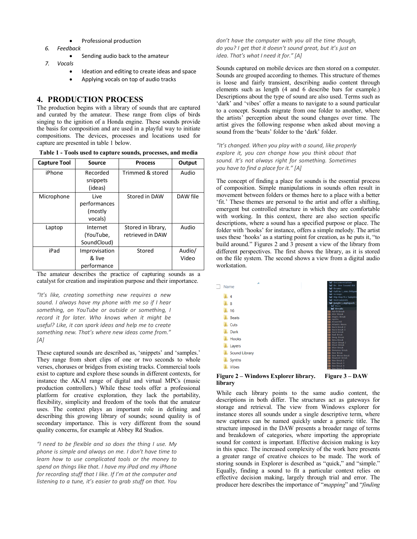- Professional production
- *6. Feedback*
	- Sending audio back to the amateur
- *7. Vocals*
	- Ideation and editing to create ideas and space
	- Applying vocals on top of audio tracks

#### **4. PRODUCTION PROCESS**

The production begins with a library of sounds that are captured and curated by the amateur. These range from clips of birds singing to the ignition of a Honda engine. These sounds provide the basis for composition and are used in a playful way to initiate compositions. The devices, processes and locations used for capture are presented in table 1 below.

| <b>Capture Tool</b> | <b>Source</b>                              | <b>Process</b>                         | Output          |
|---------------------|--------------------------------------------|----------------------------------------|-----------------|
| iPhone              | Recorded<br>snippets<br>(ideas)            | Trimmed & stored                       | Audio           |
| Microphone          | Live<br>performances<br>(mostly<br>vocals) | Stored in DAW                          | DAW file        |
| Laptop              | Internet<br>(YouTube,<br>SoundCloud)       | Stored in library,<br>retrieved in DAW | Audio           |
| iPad                | Improvisation<br>& live<br>performance     | Stored                                 | Audio/<br>Video |

**Table 1 - Tools used to capture sounds, processes, and media**

The amateur describes the practice of capturing sounds as a catalyst for creation and inspiration purpose and their importance.

*"It's like, creating something new requires a new sound. I always have my phone with me so if I hear something, on YouTube or outside or something, I record it for later. Who knows when it might be useful? Like, it can spark ideas and help me to create something new. That's where new ideas come from." [A]*

These captured sounds are described as, 'snippets' and 'samples.' They range from short clips of one or two seconds to whole verses, choruses or bridges from existing tracks. Commercial tools exist to capture and explore these sounds in different contexts, for instance the AKAI range of digital and virtual MPCs (music production controllers.) While these tools offer a professional platform for creative exploration, they lack the portability, flexibility, simplicity and freedom of the tools that the amateur uses. The context plays an important role in defining and describing this growing library of sounds; sound quality is of secondary importance. This is very different from the sound quality concerns, for example at Abbey Rd Studios.

*"I need to be flexible and so does the thing I use. My phone is simple and always on me. I don't have time to learn how to use complicated tools or the money to spend on things like that. I have my iPad and my iPhone for recording stuff that I like. If I'm at the computer and listening to a tune, it's easier to grab stuff on that. You*  *don't have the computer with you all the time though, do you? I get that it doesn't sound great, but it's just an idea. That's what I need it for." [A]*

Sounds captured on mobile devices are then stored on a computer. Sounds are grouped according to themes. This structure of themes is loose and fairly transient, describing audio content through elements such as length (4 and 6 describe bars for example.) Descriptions about the type of sound are also used. Terms such as 'dark' and 'vibes' offer a means to navigate to a sound particular to a concept. Sounds migrate from one folder to another, where the artists' perception about the sound changes over time. The artist gives the following response when asked about moving a sound from the 'beats' folder to the 'dark' folder.

*"It's changed. When you play with a sound, like properly explore it, you can change how you think about that sound. It's not always right for something. Sometimes you have to find a place for it." [A]*

The concept of finding a place for sounds is the essential process of composition. Simple manipulations in sounds often result in movement between folders or themes here to a place with a better 'fit.' These themes are personal to the artist and offer a shifting, emergent but controlled structure in which they are comfortable with working. In this context, there are also section specific descriptions, where a sound has a specified purpose or place. The folder with 'hooks' for instance, offers a simple melody. The artist uses these 'hooks' as a starting point for creation, as he puts it, "to build around." Figures 2 and 3 present a view of the library from different perspectives. The first shows the library, as it is stored on the file system. The second shows a view from a digital audio workstation.



**Figure 2 – Windows Explorer library. Figure 3 – DAW library**

While each library points to the same audio content, the descriptions in both differ. The structures act as gateways for storage and retrieval. The view from Windows explorer for instance stores all sounds under a single descriptive term, where new captures can be named quickly under a generic title. The structure imposed in the DAW presents a broader range of terms and breakdown of categories, where importing the appropriate sound for context is important. Effective decision making is key in this space. The increased complexity of the work here presents a greater range of creative choices to be made. The work of storing sounds in Explorer is described as "quick," and "simple." Equally, finding a sound to fit a particular context relies on effective decision making, largely through trial and error. The producer here describes the importance of "*mapping*" and "*finding*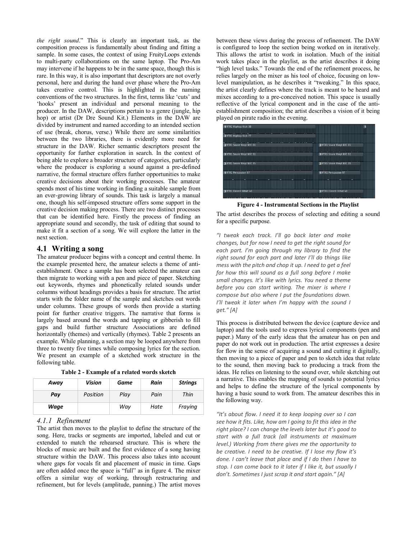*the right sound*." This is clearly an important task, as the composition process is fundamentally about finding and fitting a sample. In some cases, the context of using FruityLoops extends to multi-party collaborations on the same laptop. The Pro-Am may intervene if he happens to be in the same space, though this is rare. In this way, it is also important that descriptors are not overly personal, here and during the hand over phase where the Pro-Am takes creative control. This is highlighted in the naming conventions of the two structures. In the first, terms like 'cuts' and 'hooks' present an individual and personal meaning to the producer. In the DAW, descriptions pertain to a genre (jungle, hip hop) or artist (Dr Dre Sound Kit.) Elements in the DAW are divided by instrument and named according to an intended section of use (break, chorus, verse.) While there are some similarities between the two libraries, there is evidently more need for structure in the DAW. Richer semantic descriptors present the opportunity for further exploration in search. In the context of being able to explore a broader structure of categories, particularly where the producer is exploring a sound against a pre-defined narrative, the formal structure offers further opportunities to make creative decisions about their working processes. The amateur spends most of his time working in finding a suitable sample from an ever-growing library of sounds. This task is largely a manual one, though his self-imposed structure offers some support in the creative decision making process. There are two distinct processes that can be identified here. Firstly the process of finding an appropriate sound and secondly, the task of editing that sound to make it fit a section of a song. We will explore the latter in the next section.

#### **4.1 Writing a song**

The amateur producer begins with a concept and central theme. In the example presented here, the amateur selects a theme of antiestablishment. Once a sample has been selected the amateur can then migrate to working with a pen and piece of paper. Sketching out keywords, rhymes and phonetically related sounds under columns without headings provides a basis for structure. The artist starts with the folder name of the sample and sketches out words under columns. These groups of words then provide a starting point for further creative triggers. The narrative that forms is largely based around the words and tapping or gibberish to fill gaps and build further structure Associations are defined horizontally (themes) and vertically (rhymes). Table 2 presents an example. While planning, a section may be looped anywhere from three to twenty five times while composing lyrics for the section. We present an example of a sketched work structure in the following table.

**Table 2 - Example of a related words sketch**

| Away | Vision   | Game | Rain | <b>Strings</b> |
|------|----------|------|------|----------------|
| Pay  | Position | Play | Pain | Thin           |
| Wage |          | Wav  | Hate | Fraying        |

#### *4.1.1 Refinement*

The artist then moves to the playlist to define the structure of the song. Here, tracks or segments are imported, labeled and cut or extended to match the rehearsed structure. This is where the blocks of music are built and the first evidence of a song having structure within the DAW. This process also takes into account where gaps for vocals fit and placement of music in time. Gaps are often added once the space is "full" as in figure 4. The mixer offers a similar way of working, through restructuring and refinement, but for levels (amplitude, panning.) The artist moves

between these views during the process of refinement. The DAW is configured to loop the section being worked on in iteratively. This allows the artist to work in isolation. Much of the initial work takes place in the playlist, as the artist describes it doing "high level tasks." Towards the end of the refinement process, he relies largely on the mixer as his tool of choice, focusing on lowlevel manipulation, as he describes it "tweaking." In this space, the artist clearly defines where the track is meant to be heard and mixes according to a pre-conceived notion. This space is usually reflective of the lyrical component and in the case of the antiestablishment composition; the artist describes a vision of it being played on pirate radio in the evening.



**Figure 4 - Instrumental Sections in the Playlist**

The artist describes the process of selecting and editing a sound for a specific purpose.

*"I tweak each track. I'll go back later and make changes, but for now I need to get the right sound for each part. I'm going through my library to find the right sound for each part and later I'll do things like mess with the pitch and chop it up. I need to get a feel for how this will sound as a full song before I make small changes. It's like with lyrics. You need a theme before you can start writing. The mixer is where I compose but also where I put the foundations down. I'll tweak it later when I'm happy with the sound I get." [A]*

This process is distributed between the device (capture device and laptop) and the tools used to express lyrical components (pen and paper.) Many of the early ideas that the amateur has on pen and paper do not work out in production. The artist expresses a desire for flow in the sense of acquiring a sound and cutting it digitally, then moving to a piece of paper and pen to sketch idea that relate to the sound, then moving back to producing a track from the ideas. He relies on listening to the sound over, while sketching out a narrative. This enables the mapping of sounds to potential lyrics and helps to define the structure of the lyrical components by having a basic sound to work from. The amateur describes this in the following way.

*"It's about flow. I need it to keep looping over so I can see how it fits. Like, how am I going to fit this idea in the right place? I can change the levels later but it's good to start with a full track (all instruments at maximum level.) Working from there gives me the opportunity to be creative. I need to be creative. If I lose my flow it's done. I can't leave that place and if I do then I have to stop. I can come back to it later if I like it, but usually I don't. Sometimes I just scrap it and start again." [A]*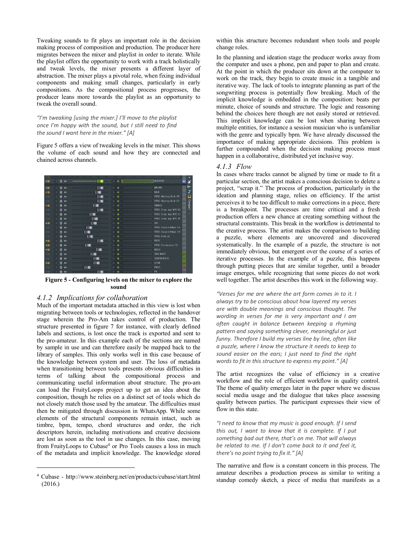Tweaking sounds to fit plays an important role in the decision making process of composition and production. The producer here migrates between the mixer and playlist in order to iterate. While the playlist offers the opportunity to work with a track holistically and tweak levels, the mixer presents a different layer of abstraction. The mixer plays a pivotal role, when fixing individual components and making small changes, particularly in early compositions. As the compositional process progresses, the producer leans more towards the playlist as an opportunity to tweak the overall sound.

#### *"I'm tweaking [using the mixer.] I'll move to the playlist once I'm happy with the sound, but I still need to find the sound I want here in the mixer." [A]*

Figure 5 offers a view of tweaking levels in the mixer. This shows the volume of each sound and how they are connected and chained across channels.



**Figure 5 - Configuring levels on the mixer to explore the sound**

#### *4.1.2 Implications for collaboration*

Much of the important metadata attached in this view is lost when migrating between tools or technologies, reflected in the handover stage wherein the Pro-Am takes control of production. The structure presented in figure 7 for instance, with clearly defined labels and sections, is lost once the track is exported and sent to the pro-amateur. In this example each of the sections are named by sample in use and can therefore easily be mapped back to the library of samples. This only works well in this case because of the knowledge between system and user. The loss of metadata when transitioning between tools presents obvious difficulties in terms of talking about the compositional process and communicating useful information about structure. The pro-am can load the FruityLoops project up to get an idea about the composition, though he relies on a distinct set of tools which do not closely match those used by the amateur. The difficulties must then be mitigated through discussion in WhatsApp. While some elements of the structural components remain intact, such as timbre, bpm, tempo, chord structures and order, the rich descriptors herein, including motivations and creative decisions are lost as soon as the tool in use changes. In this case, moving from FruityLoops to Cubase<sup>4</sup> or Pro Tools causes a loss in much of the metadata and implicit knowledge. The knowledge stored

 $\overline{a}$ 

within this structure becomes redundant when tools and people change roles.

In the planning and ideation stage the producer works away from the computer and uses a phone, pen and paper to plan and create. At the point in which the producer sits down at the computer to work on the track, they begin to create music in a tangible and iterative way. The lack of tools to integrate planning as part of the songwriting process is potentially flow breaking. Much of the implicit knowledge is embedded in the composition: beats per minute, choice of sounds and structure. The logic and reasoning behind the choices here though are not easily stored or retrieved. This implicit knowledge can be lost when sharing between multiple entities, for instance a session musician who is unfamiliar with the genre and typically bpm. We have already discussed the importance of making appropriate decisions. This problem is further compounded when the decision making process must happen in a collaborative, distributed yet inclusive way.

#### *4.1.3 Flow*

In cases where tracks cannot be aligned by time or made to fit a particular section, the artist makes a conscious decision to delete a project, "scrap it." The process of production, particularly in the ideation and planning stage, relies on efficiency. If the artist perceives it to be too difficult to make corrections in a piece, there is a breakpoint. The processes are time critical and a fresh production offers a new chance at creating something without the structural constraints. This break in the workflow is detrimental to the creative process. The artist makes the comparison to building a puzzle, where elements are uncovered and discovered systematically. In the example of a puzzle, the structure is not immediately obvious, but emergent over the course of a series of iterative processes. In the example of a puzzle, this happens through putting pieces that are similar together, until a broader image emerges, while recognizing that some pieces do not work well together. The artist describes this work in the following way.

*"Verses for me are where the art form comes in to it. I always try to be conscious about how layered my verses are with double meanings and conscious thought. The wording in verses for me is very important and I am often caught in balance between keeping a rhyming pattern and saying something clever, meaningful or just funny. Therefore I build my verses line by line, often like a puzzle, where I know the structure it needs to keep to sound easier on the ears; I just need to find the right words to fit in this structure to express my point." [A]*

The artist recognizes the value of efficiency in a creative workflow and the role of efficient workflow in quality control. The theme of quality emerges later in the paper where we discuss social media usage and the dialogue that takes place assessing quality between parties. The participant expresses their view of flow in this state.

*"I need to know that my music is good enough. If I send this out, I want to know that it is complete. If I put something bad out there, that's on me. That will always be related to me. If I don't come back to it and feel it, there's no point trying to fix it." [A]*

The narrative and flow is a constant concern in this process. The amateur describes a production process as similar to writing a standup comedy sketch, a piece of media that manifests as a

<sup>4</sup> Cubase - http://www.steinberg.net/en/products/cubase/start.html (2016.)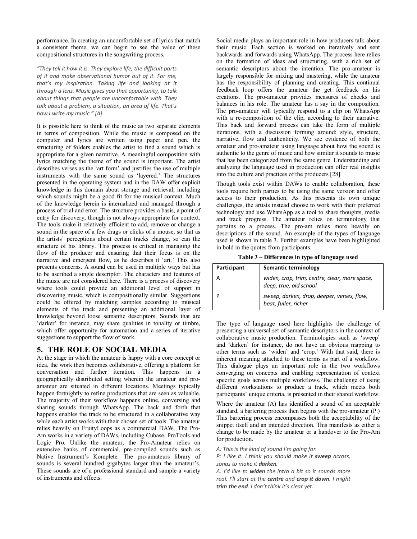performance. In creating an uncomfortable set of lyrics that match a consistent theme, we can begin to see the value of these compositional structures in the songwriting process.

*"They tell it how it is. They explore life, the difficult parts of it and make observational humor out of it. For me, that's my inspiration. Taking life and looking at it through a lens. Music gives you that opportunity, to talk about things that people are uncomfortable with. They talk about a problem, a situation, an area of life. That's how I write my music." [A]*

It is possible here to think of the music as two separate elements in terms of composition. While the music is composed on the computer and lyrics are written using paper and pen, the structuring of folders enables the artist to find a sound which is appropriate for a given narrative. A meaningful composition with lyrics matching the theme of the sound is important. The artist describes verses as the 'art form' and justifies the use of multiple instruments with the same sound as 'layered.' The structures presented in the operating system and in the DAW offer explicit knowledge in this domain about storage and retrieval, including which sounds might be a good fit for the musical context. Much of the knowledge herein is internalized and managed through a process of trial and error. The structure provides a basis, a point of entry for discovery, though is not always appropriate for context. The tools make it relatively efficient to add, remove or change a sound in the space of a few drags or clicks of a mouse, so that as the artists' perceptions about certain tracks change, so can the structure of his library. This process is critical in managing the flow of the producer and ensuring that their focus is on the narrative and emergent flow, as he describes it 'art.' This also presents concerns. A sound can be used in multiple ways but has to be ascribed a single descriptor. The characters and features of the music are not considered here. There is a process of discovery where tools could provide an additional level of support in discovering music, which is compositionally similar. Suggestions could be offered by matching samples according to musical elements of the track and presenting an additional layer of knowledge beyond loose semantic descriptors. Sounds that are 'darker' for instance, may share qualities in tonality or timbre, which offer opportunity for automation and a series of iterative suggestions to support the flow of work.

#### **5. THE ROLE OF SOCIAL MEDIA**

At the stage in which the amateur is happy with a core concept or idea, the work then becomes collaborative, offering a platform for conversation and further iteration. This happens in a geographically distributed setting wherein the amateur and proamateur are situated in different locations. Meetings typically happen fortnightly to refine productions that are seen as valuable. The majority of their workflow happens online, conversing and sharing sounds through WhatsApp. The back and forth that happens enables the track to be structured in a collaborative way while each artist works with their chosen set of tools. The amateur relies heavily on FruityLoops as a commercial DAW. The Pro-Am works in a variety of DAWs, including Cubase, ProTools and Logic Pro. Unlike the amateur, the Pro-Amateur relies on extensive banks of commercial, pre-compiled sounds such as Native Instrument's Komplete. The pro-amateurs library of sounds is several hundred gigabytes larger than the amateur's. These sounds are of a professional standard and sample a variety of instruments and effects.

Social media plays an important role in how producers talk about their music. Each section is worked on iteratively and sent backwards and forwards using WhatsApp. The process here relies on the formation of ideas and structuring, with a rich set of semantic descriptors about the intention. The pro-amateur is largely responsible for mixing and mastering, while the amateur has the responsibility of planning and creating. This continual feedback loop offers the amateur the get feedback on his creations. The pro-amateur provides measures of checks and balances in his role. The amateur has a say in the composition. The pro-amateur will typically respond to a clip on WhatsApp with a re-composition of the clip, according to their narrative. This back and forward process can take the form of multiple iterations, with a discussion forming around: style, structure, narrative, flow and authenticity. We see evidence of both the amateur and pro-amateur using language about how the sound is authentic to the genre of music and how similar it sounds to music that has been categorized from the same genre. Understanding and analyzing the language used in production can offer real insights into the culture and practices of the producers [28].

Though tools exist within DAWs to enable collaboration, these tools require both parties to be using the same version and offer access to their production. As this presents its own unique challenges, the artists instead choose to work with their preferred technology and use WhatsApp as a tool to share thoughts, media and track progress. The amateur relies on terminology that pertains to a process. The pro-am relies more heavily on descriptions of the sound. An example of the types of language used is shown in table 3. Further examples have been highlighted in bold in the quotes from participants.

| Participant | Semantic terminology                                                    |  |
|-------------|-------------------------------------------------------------------------|--|
|             | widen, crop, trim, centre, clear, more space,<br>deep, true, old school |  |
|             | sweep, darken, drop, deeper, verses, flow,<br>beat, fuller, richer      |  |

**Table 3 – Differences in type of language used**

The type of language used here highlights the challenge of presenting a universal set of semantic descriptors in the context of collaborative music production. Terminologies such as 'sweep' and 'darken' for instance, do not have an obvious mapping to other terms such as 'widen' and 'crop.' With that said, there is inherent meaning attached to these terms as part of a workflow. This dialogue plays an important role in the two workflows converging on concepts and enabling representation of context specific goals across multiple workflows. The challenge of using different workstations to produce a track, which meets both participants' unique criteria, is presented in their shared workflow.

Where the amateur (A) has identified a sound of an acceptable standard, a bartering process then begins with the pro-amateur (P.) This bartering process encompasses both the acceptability of the snippet itself and an intended direction. This manifests as either a change to be made by the amateur or a handover to the Pro-Am for production.

*A: This is the kind of sound I'm going for.* 

*P: I like it. I think you should make it sweep across, sonas to make it darken.* 

*A: I'd like to widen the intro a bit so it sounds more real. I'll start at the centre and crop it down. I might trim the end. I don't think it's clear yet.*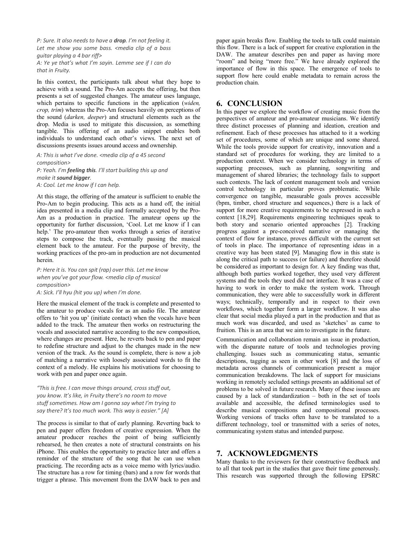*P: Sure. It also needs to have a drop. I'm not feeling it. Let me show you some bass. <media clip of a bass guitar playing a 4 bar riff> A: Ye ye that's what I'm sayin. Lemme see if I can do* 

*that in Fruity.* 

In this context, the participants talk about what they hope to achieve with a sound. The Pro-Am accepts the offering, but then presents a set of suggested changes. The amateur uses language, which pertains to specific functions in the application *(widen, crop, trim*) whereas the Pro-Am focuses heavily on perceptions of the sound (*darken, deeper*) and structural elements such as the drop. Media is used to mitigate this discussion, as something tangible. This offering of an audio snippet enables both individuals to understand each other's views. The next set of discussions presents issues around access and ownership.

*A: This is what I've done. <media clip of a 45 second composition>*

*P: Yeah. I'm feeling this. I'll start building this up and make it sound bigger. A: Cool. Let me know if I can help.*

At this stage, the offering of the amateur is sufficient to enable the Pro-Am to begin producing. This acts as a hand off, the initial idea presented in a media clip and formally accepted by the Pro-Am as a production in practice. The amateur opens up the opportunity for further discussion, 'Cool. Let me know if I can help.' The pro-amateur then works through a series of iterative steps to compose the track, eventually passing the musical element back to the amateur. For the purpose of brevity, the working practices of the pro-am in production are not documented herein.

*P: Here it is. You can spit (rap) over this. Let me know when you've got your flow. <media clip of musical composition>*

*A: Sick. I'll hyu (hit you up) when I'm done.*

Here the musical element of the track is complete and presented to the amateur to produce vocals for as an audio file. The amateur offers to 'hit you up' (initiate contact) when the vocals have been added to the track. The amateur then works on restructuring the vocals and associated narrative according to the new composition, where changes are present. Here, he reverts back to pen and paper to redefine structure and adjust to the changes made in the new version of the track. As the sound is complete, there is now a job of matching a narrative with loosely associated words to fit the context of a melody. He explains his motivations for choosing to work with pen and paper once again.

*"This is free. I can move things around, cross stuff out, you know. It's like, in Fruity there's no room to move stuff sometimes. How am I gonna say what I'm trying to say there? It's too much work. This way is easier." [A]*

The process is similar to that of early planning. Reverting back to pen and paper offers freedom of creative expression. When the amateur producer reaches the point of being sufficiently rehearsed, he then creates a note of structural constraints on his iPhone. This enables the opportunity to practice later and offers a reminder of the structure of the song that he can use when practicing. The recording acts as a voice memo with lyrics/audio. The structure has a row for timing (bars) and a row for words that trigger a phrase. This movement from the DAW back to pen and paper again breaks flow. Enabling the tools to talk could maintain this flow. There is a lack of support for creative exploration in the DAW. The amateur describes pen and paper as having more "room" and being "more free." We have already explored the importance of flow in this space. The emergence of tools to support flow here could enable metadata to remain across the production chain.

## **6. CONCLUSION**

In this paper we explore the workflow of creating music from the perspectives of amateur and pro-amateur musicians. We identify three distinct processes of planning and ideation, creation and refinement. Each of these processes has attached to it a working set of procedures, some of which are unique and some shared. While the tools provide support for creativity, innovation and a standard set of procedures for working, they are limited to a production context. When we consider technology in terms of supporting processes, such as planning, songwriting and management of shared libraries; the technology fails to support such contexts. The lack of content management tools and version control technology in particular proves problematic. While convergence on tangible, measurable goals proves accessible (bpm, timber, chord structure and sequences,) there is a lack of support for more creative requirements to be expressed in such a context [18,29]. Requirements engineering techniques speak to both story and scenario oriented approaches [2]. Tracking progress against a pre-conceived narrative or managing the context of flow for instance, proves difficult with the current set of tools in place. The importance of representing ideas in a creative way has been stated [9]. Managing flow in this state is along the critical path to success (or failure) and therefore should be considered as important to design for. A key finding was that, although both parties worked together, they used very different systems and the tools they used did not interface. It was a case of having to work in order to make the system work. Through communication, they were able to successfully work in different ways; technically, temporally and in respect to their own workflows, which together form a larger workflow. It was also clear that social media played a part in the production and that as much work was discarded, and used as 'sketches' as came to fruition. This is an area that we aim to investigate in the future.

Communication and collaboration remain an issue in production, with the disparate nature of tools and technologies proving challenging. Issues such as communicating status, semantic descriptions, tagging as seen in other work [8] and the loss of metadata across channels of communication present a major communication breakdowns. The lack of support for musicians working in remotely secluded settings presents an additional set of problems to be solved in future research. Many of these issues are caused by a lack of standardization – both in the set of tools available and accessible, the defined terminologies used to describe musical compositions and compositional processes. Working versions of tracks often have to be translated to a different technology, tool or transmitted with a series of notes, communicating system status and intended purpose.

#### **7. ACKNOWLEDGMENTS**

Many thanks to the reviewers for their constructive feedback and to all that took part in the studies that gave their time generously. This research was supported through the following EPSRC